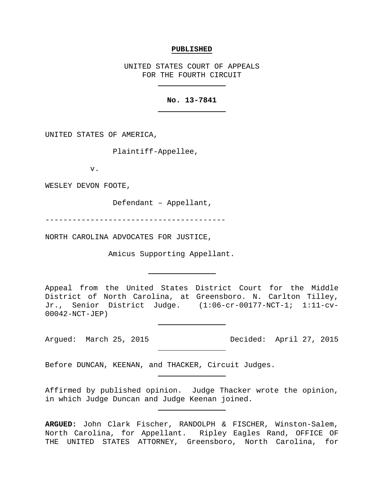#### **PUBLISHED**

UNITED STATES COURT OF APPEALS FOR THE FOURTH CIRCUIT

### **No. 13-7841**

UNITED STATES OF AMERICA,

Plaintiff-Appellee,

v.

WESLEY DEVON FOOTE,

Defendant – Appellant,

----------------------------------------

NORTH CAROLINA ADVOCATES FOR JUSTICE,

Amicus Supporting Appellant.

Appeal from the United States District Court for the Middle District of North Carolina, at Greensboro. N. Carlton Tilley, Jr., Senior District Judge. (1:06-cr-00177-NCT-1; 1:11-cv-00042-NCT-JEP)

Argued: March 25, 2015 Decided: April 27, 2015

Before DUNCAN, KEENAN, and THACKER, Circuit Judges.

Affirmed by published opinion. Judge Thacker wrote the opinion, in which Judge Duncan and Judge Keenan joined.

**ARGUED:** John Clark Fischer, RANDOLPH & FISCHER, Winston-Salem, North Carolina, for Appellant. Ripley Eagles Rand, OFFICE OF THE UNITED STATES ATTORNEY, Greensboro, North Carolina, for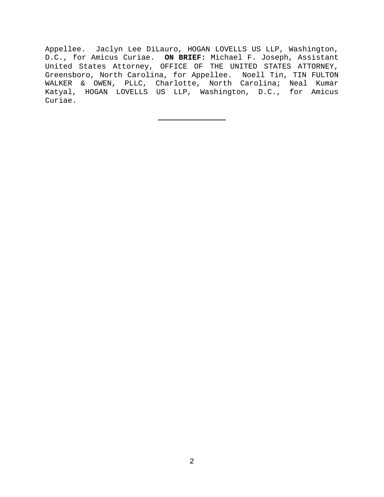Appellee. Jaclyn Lee DiLauro, HOGAN LOVELLS US LLP, Washington, D.C., for Amicus Curiae. **ON BRIEF:** Michael F. Joseph, Assistant United States Attorney, OFFICE OF THE UNITED STATES ATTORNEY, Greensboro, North Carolina, for Appellee. Noell Tin, TIN FULTON WALKER & OWEN, PLLC, Charlotte, North Carolina; Neal Kumar Katyal, HOGAN LOVELLS US LLP, Washington, D.C., for Amicus Curiae.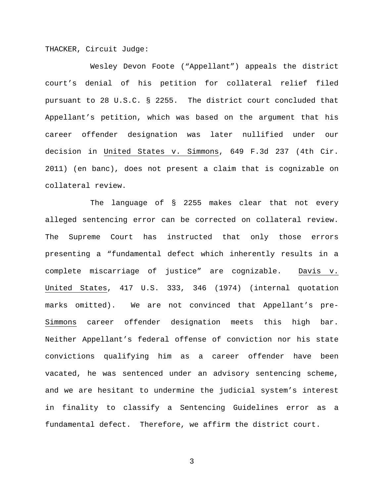THACKER, Circuit Judge:

Wesley Devon Foote ("Appellant") appeals the district court's denial of his petition for collateral relief filed pursuant to 28 U.S.C. § 2255. The district court concluded that Appellant's petition, which was based on the argument that his career offender designation was later nullified under our decision in United States v. Simmons, 649 F.3d 237 (4th Cir. 2011) (en banc), does not present a claim that is cognizable on collateral review.

The language of § 2255 makes clear that not every alleged sentencing error can be corrected on collateral review. The Supreme Court has instructed that only those errors presenting a "fundamental defect which inherently results in a complete miscarriage of justice" are cognizable. Davis v. United States, 417 U.S. 333, 346 (1974) (internal quotation marks omitted). We are not convinced that Appellant's pre-Simmons career offender designation meets this high bar. Neither Appellant's federal offense of conviction nor his state convictions qualifying him as a career offender have been vacated, he was sentenced under an advisory sentencing scheme, and we are hesitant to undermine the judicial system's interest in finality to classify a Sentencing Guidelines error as a fundamental defect. Therefore, we affirm the district court.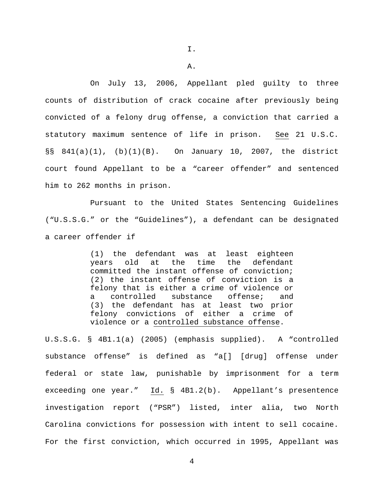On July 13, 2006, Appellant pled guilty to three counts of distribution of crack cocaine after previously being convicted of a felony drug offense, a conviction that carried a statutory maximum sentence of life in prison. See 21 U.S.C. §§ 841(a)(1), (b)(1)(B). On January 10, 2007, the district court found Appellant to be a "career offender" and sentenced him to 262 months in prison.

Pursuant to the United States Sentencing Guidelines ("U.S.S.G." or the "Guidelines"), a defendant can be designated a career offender if

> (1) the defendant was at least eighteen years old at the time the defendant committed the instant offense of conviction; (2) the instant offense of conviction is a felony that is either a crime of violence or a controlled substance offense; and (3) the defendant has at least two prior felony convictions of either a crime of violence or a controlled substance offense.

U.S.S.G. § 4B1.1(a) (2005) (emphasis supplied). A "controlled substance offense" is defined as "a[] [drug] offense under federal or state law, punishable by imprisonment for a term exceeding one year." Id. § 4B1.2(b). Appellant's presentence investigation report ("PSR") listed, inter alia, two North Carolina convictions for possession with intent to sell cocaine. For the first conviction, which occurred in 1995, Appellant was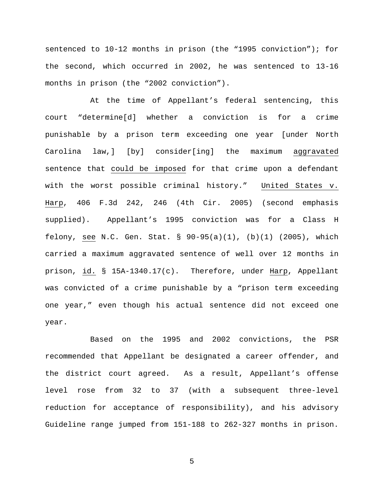sentenced to 10-12 months in prison (the "1995 conviction"); for the second, which occurred in 2002, he was sentenced to 13-16 months in prison (the "2002 conviction").

At the time of Appellant's federal sentencing, this court "determine[d] whether a conviction is for a crime punishable by a prison term exceeding one year [under North Carolina law,] [by] consider[ing] the maximum aggravated sentence that could be imposed for that crime upon a defendant with the worst possible criminal history." United States v. Harp, 406 F.3d 242, 246 (4th Cir. 2005) (second emphasis supplied). Appellant's 1995 conviction was for a Class H felony, see N.C. Gen. Stat. § 90-95(a)(1), (b)(1) (2005), which carried a maximum aggravated sentence of well over 12 months in prison, id. § 15A-1340.17(c). Therefore, under Harp, Appellant was convicted of a crime punishable by a "prison term exceeding one year," even though his actual sentence did not exceed one year.

Based on the 1995 and 2002 convictions, the PSR recommended that Appellant be designated a career offender, and the district court agreed. As a result, Appellant's offense level rose from 32 to 37 (with a subsequent three-level reduction for acceptance of responsibility), and his advisory Guideline range jumped from 151-188 to 262-327 months in prison.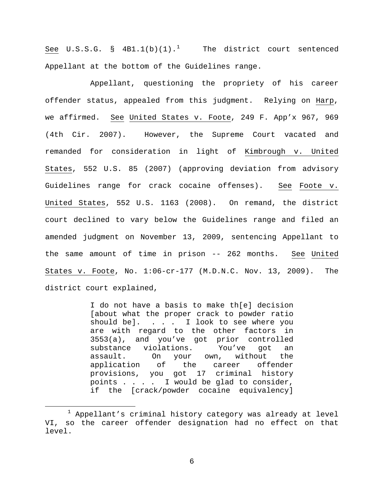See U.S.S.G. §  $4B1.1(b)(1).$  $4B1.1(b)(1).$  $4B1.1(b)(1).$ <sup>1</sup> The district court sentenced Appellant at the bottom of the Guidelines range.

Appellant, questioning the propriety of his career offender status, appealed from this judgment. Relying on Harp, we affirmed. See United States v. Foote, 249 F. App'x 967, 969 (4th Cir. 2007). However, the Supreme Court vacated and remanded for consideration in light of Kimbrough v. United States, 552 U.S. 85 (2007) (approving deviation from advisory Guidelines range for crack cocaine offenses). See Foote v. United States, 552 U.S. 1163 (2008). On remand, the district court declined to vary below the Guidelines range and filed an amended judgment on November 13, 2009, sentencing Appellant to the same amount of time in prison -- 262 months. See United States v. Foote, No. 1:06-cr-177 (M.D.N.C. Nov. 13, 2009). The district court explained,

> I do not have a basis to make th[e] decision [about what the proper crack to powder ratio should be]. . . . I look to see where you are with regard to the other factors in 3553(a), and you've got prior controlled<br>substance violations. You've got an substance violations. You've got an assault. On your own, without the application of the career offender provisions, you got 17 criminal history points . . . . I would be glad to consider, if the [crack/powder cocaine equivalency]

<span id="page-5-0"></span> $1$  Appellant's criminal history category was already at level VI, so the career offender designation had no effect on that level.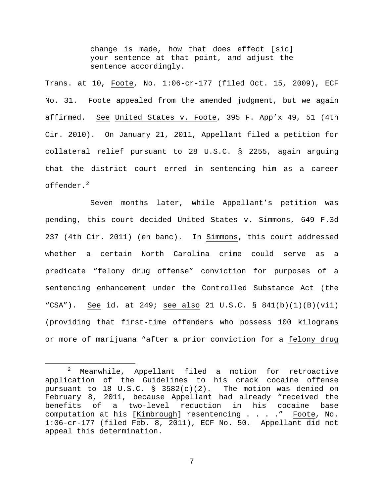change is made, how that does effect [sic] your sentence at that point, and adjust the sentence accordingly.

Trans. at 10, Foote, No. 1:06-cr-177 (filed Oct. 15, 2009), ECF No. 31. Foote appealed from the amended judgment, but we again affirmed. See United States v. Foote, 395 F. App'x 49, 51 (4th Cir. 2010). On January 21, 2011, Appellant filed a petition for collateral relief pursuant to 28 U.S.C. § 2255, again arguing that the district court erred in sentencing him as a career offender. $^2$  $^2$ 

Seven months later, while Appellant's petition was pending, this court decided United States v. Simmons, 649 F.3d 237 (4th Cir. 2011) (en banc). In Simmons, this court addressed whether a certain North Carolina crime could serve as a predicate "felony drug offense" conviction for purposes of a sentencing enhancement under the Controlled Substance Act (the "CSA"). See id. at 249; see also 21 U.S.C. § 841(b)(1)(B)(vii) (providing that first-time offenders who possess 100 kilograms or more of marijuana "after a prior conviction for a felony drug

<span id="page-6-0"></span> <sup>2</sup> Meanwhile, Appellant filed a motion for retroactive application of the Guidelines to his crack cocaine offense pursuant to 18 U.S.C. §  $3582(c)(2)$ . The motion was denied on February 8, 2011, because Appellant had already "received the benefits of a two-level reduction in his cocaine base<br>computation at his [Kimbrough] resentencing . . . ." Foote, No. computation at his [Kimbrough] resentencing  $\ldots$  ... 1:06-cr-177 (filed Feb. 8, 2011), ECF No. 50. Appellant did not appeal this determination.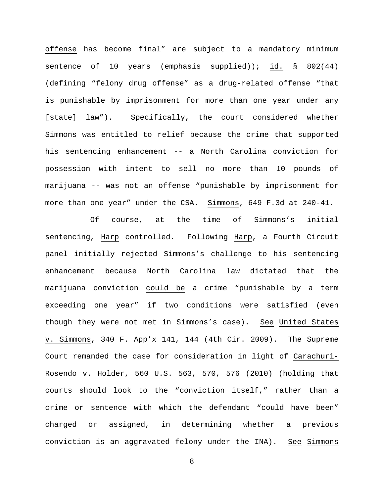offense has become final" are subject to a mandatory minimum sentence of 10 years (emphasis supplied)); id. § 802(44) (defining "felony drug offense" as a drug-related offense "that is punishable by imprisonment for more than one year under any [state] law"). Specifically, the court considered whether Simmons was entitled to relief because the crime that supported his sentencing enhancement -- a North Carolina conviction for possession with intent to sell no more than 10 pounds of marijuana -- was not an offense "punishable by imprisonment for more than one year" under the CSA. Simmons, 649 F.3d at 240-41.

Of course, at the time of Simmons's initial sentencing, Harp controlled. Following Harp, a Fourth Circuit panel initially rejected Simmons's challenge to his sentencing enhancement because North Carolina law dictated that the marijuana conviction could be a crime "punishable by a term exceeding one year" if two conditions were satisfied (even though they were not met in Simmons's case). See United States v. Simmons, 340 F. App'x 141, 144 (4th Cir. 2009). The Supreme Court remanded the case for consideration in light of Carachuri-Rosendo v. Holder, 560 U.S. 563, 570, 576 (2010) (holding that courts should look to the "conviction itself," rather than a crime or sentence with which the defendant "could have been" charged or assigned, in determining whether a previous conviction is an aggravated felony under the INA). See Simmons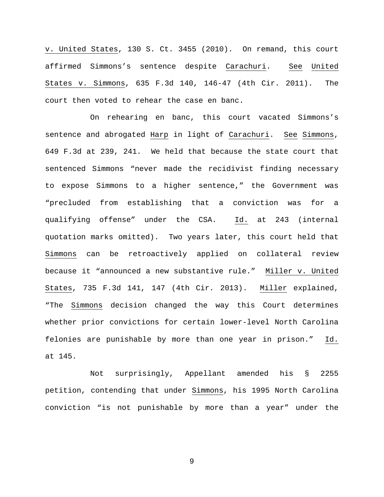v. United States, 130 S. Ct. 3455 (2010). On remand, this court affirmed Simmons's sentence despite Carachuri. See United States v. Simmons, 635 F.3d 140, 146-47 (4th Cir. 2011). The court then voted to rehear the case en banc.

On rehearing en banc, this court vacated Simmons's sentence and abrogated Harp in light of Carachuri. See Simmons, 649 F.3d at 239, 241. We held that because the state court that sentenced Simmons "never made the recidivist finding necessary to expose Simmons to a higher sentence," the Government was "precluded from establishing that a conviction was for a qualifying offense" under the CSA. Id. at 243 (internal quotation marks omitted). Two years later, this court held that Simmons can be retroactively applied on collateral review because it "announced a new substantive rule." Miller v. United States, 735 F.3d 141, 147 (4th Cir. 2013). Miller explained, "The Simmons decision changed the way this Court determines whether prior convictions for certain lower-level North Carolina felonies are punishable by more than one year in prison." Id. at 145.

Not surprisingly, Appellant amended his § 2255 petition, contending that under Simmons, his 1995 North Carolina conviction "is not punishable by more than a year" under the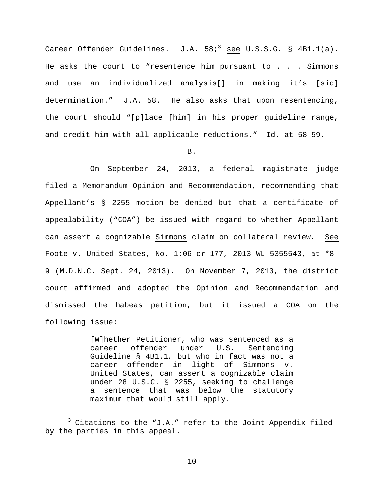Career Offender Guidelines.  $J.A. 58i<sup>3</sup>$  $J.A. 58i<sup>3</sup>$  $J.A. 58i<sup>3</sup>$  see U.S.S.G. § 4B1.1(a). He asks the court to "resentence him pursuant to  $\ldots$  . Simmons and use an individualized analysis[] in making it's [sic] determination." J.A. 58. He also asks that upon resentencing, the court should "[p]lace [him] in his proper guideline range, and credit him with all applicable reductions." Id. at 58-59.

### B.

On September 24, 2013, a federal magistrate judge filed a Memorandum Opinion and Recommendation, recommending that Appellant's § 2255 motion be denied but that a certificate of appealability ("COA") be issued with regard to whether Appellant can assert a cognizable Simmons claim on collateral review. See Foote v. United States, No. 1:06-cr-177, 2013 WL 5355543, at \*8- 9 (M.D.N.C. Sept. 24, 2013). On November 7, 2013, the district court affirmed and adopted the Opinion and Recommendation and dismissed the habeas petition, but it issued a COA on the following issue:

> [W]hether Petitioner, who was sentenced as a<br>career offender under U.S. Sentencing offender under U.S. Guideline § 4B1.1, but who in fact was not a career offender in light of Simmons v. United States, can assert a cognizable claim under 28 U.S.C. § 2255, seeking to challenge sentence that was below the statutory maximum that would still apply.

<span id="page-9-0"></span> $3$  Citations to the "J.A." refer to the Joint Appendix filed by the parties in this appeal.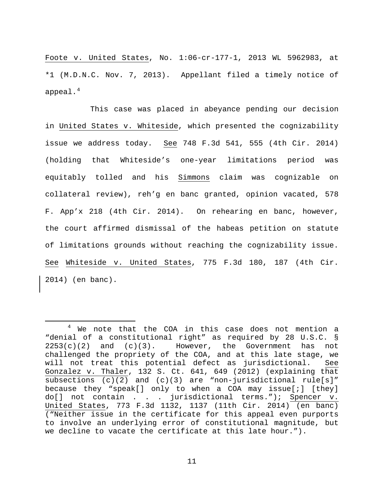Foote v. United States, No. 1:06-cr-177-1, 2013 WL 5962983, at \*1 (M.D.N.C. Nov. 7, 2013). Appellant filed a timely notice of appeal. $4$ 

This case was placed in abeyance pending our decision in United States v. Whiteside, which presented the cognizability issue we address today. See 748 F.3d 541, 555 (4th Cir. 2014) (holding that Whiteside's one-year limitations period was equitably tolled and his Simmons claim was cognizable on collateral review), reh'g en banc granted, opinion vacated, 578 F. App'x 218 (4th Cir. 2014). On rehearing en banc, however, the court affirmed dismissal of the habeas petition on statute of limitations grounds without reaching the cognizability issue. See Whiteside v. United States, 775 F.3d 180, 187 (4th Cir. 2014) (en banc).

<span id="page-10-0"></span><sup>&</sup>lt;sup>4</sup> We note that the COA in this case does not mention a "denial of a constitutional right" as required by 28 U.S.C. §  $2253(c)(2)$  and  $(c)(3)$ . However, the Government has not challenged the propriety of the COA, and at this late stage, we will not treat this potential defect as jurisdictional. See Gonzalez v. Thaler, 132 S. Ct. 641, 649 (2012) (explaining that subsections  $(c)(2)$  and  $(c)(3)$  are "non-jurisdictional rule[s]" because they "speak[] only to when a COA may issue[;] [they] do[] not contain . . . jurisdictional terms."); Spencer v. United States, 773 F.3d 1132, 1137 (11th Cir. 2014) (en banc) ("Neither issue in the certificate for this appeal even purports to involve an underlying error of constitutional magnitude, but we decline to vacate the certificate at this late hour.").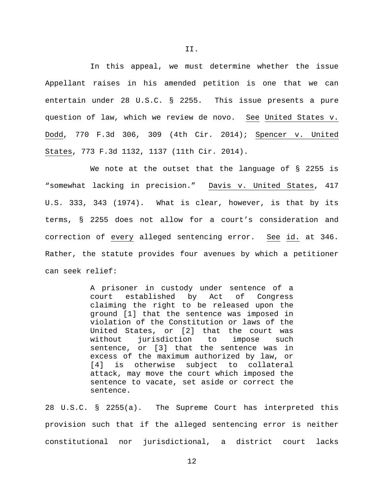In this appeal, we must determine whether the issue Appellant raises in his amended petition is one that we can entertain under 28 U.S.C. § 2255. This issue presents a pure question of law, which we review de novo. See United States v. Dodd, 770 F.3d 306, 309 (4th Cir. 2014); Spencer v. United States, 773 F.3d 1132, 1137 (11th Cir. 2014).

We note at the outset that the language of § 2255 is "somewhat lacking in precision." Davis v. United States, 417 U.S. 333, 343 (1974). What is clear, however, is that by its terms, § 2255 does not allow for a court's consideration and correction of every alleged sentencing error. See id. at 346. Rather, the statute provides four avenues by which a petitioner can seek relief:

> A prisoner in custody under sentence of a court established by Act of Congress claiming the right to be released upon the ground [1] that the sentence was imposed in violation of the Constitution or laws of the United States, or [2] that the court was without jurisdiction to impose such sentence, or [3] that the sentence was in excess of the maximum authorized by law, or [4] is otherwise subject to collateral attack, may move the court which imposed the sentence to vacate, set aside or correct the sentence.

28 U.S.C. § 2255(a). The Supreme Court has interpreted this provision such that if the alleged sentencing error is neither constitutional nor jurisdictional, a district court lacks

II.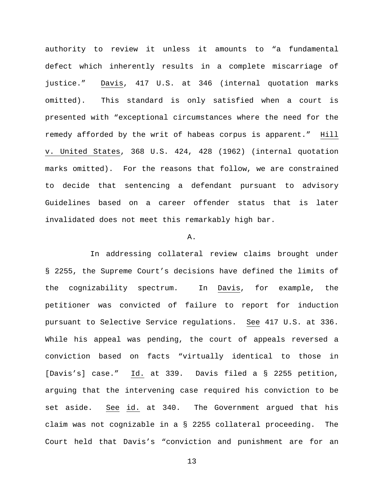authority to review it unless it amounts to "a fundamental defect which inherently results in a complete miscarriage of justice." Davis, 417 U.S. at 346 (internal quotation marks omitted). This standard is only satisfied when a court is presented with "exceptional circumstances where the need for the remedy afforded by the writ of habeas corpus is apparent." Hill v. United States, 368 U.S. 424, 428 (1962) (internal quotation marks omitted). For the reasons that follow, we are constrained to decide that sentencing a defendant pursuant to advisory Guidelines based on a career offender status that is later invalidated does not meet this remarkably high bar.

### A.

In addressing collateral review claims brought under § 2255, the Supreme Court's decisions have defined the limits of the cognizability spectrum. In Davis, for example, the petitioner was convicted of failure to report for induction pursuant to Selective Service regulations. See 417 U.S. at 336. While his appeal was pending, the court of appeals reversed a conviction based on facts "virtually identical to those in [Davis's] case." Id. at 339. Davis filed a § 2255 petition, arguing that the intervening case required his conviction to be set aside. See id. at 340. The Government argued that his claim was not cognizable in a § 2255 collateral proceeding. The Court held that Davis's "conviction and punishment are for an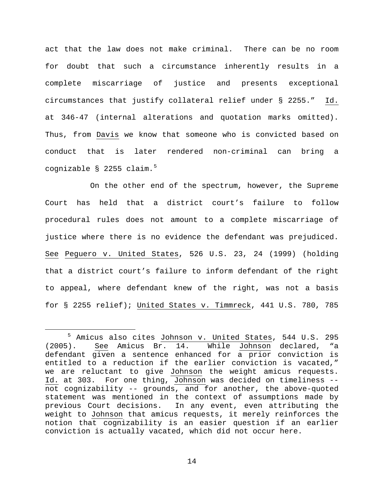act that the law does not make criminal. There can be no room for doubt that such a circumstance inherently results in a complete miscarriage of justice and presents exceptional circumstances that justify collateral relief under § 2255." Id. at 346-47 (internal alterations and quotation marks omitted). Thus, from Davis we know that someone who is convicted based on conduct that is later rendered non-criminal can bring a cognizable § 22[5](#page-13-0)5 claim.<sup>5</sup>

On the other end of the spectrum, however, the Supreme Court has held that a district court's failure to follow procedural rules does not amount to a complete miscarriage of justice where there is no evidence the defendant was prejudiced. See Peguero v. United States, 526 U.S. 23, 24 (1999) (holding that a district court's failure to inform defendant of the right to appeal, where defendant knew of the right, was not a basis for § 2255 relief); United States v. Timmreck, 441 U.S. 780, 785

<span id="page-13-0"></span> <sup>5</sup> Amicus also cites Johnson v. United States, 544 U.S. 295 (2005). See Amicus Br. 14. While Johnson declared, "a defendant given a sentence enhanced for a prior conviction is entitled to a reduction if the earlier conviction is vacated," we are reluctant to give Johnson the weight amicus requests. Id. at 303. For one thing, Johnson was decided on timeliness - not cognizability -- grounds, and for another, the above-quoted statement was mentioned in the context of assumptions made by previous Court decisions. In any event, even attributing the weight to Johnson that amicus requests, it merely reinforces the notion that cognizability is an easier question if an earlier conviction is actually vacated, which did not occur here.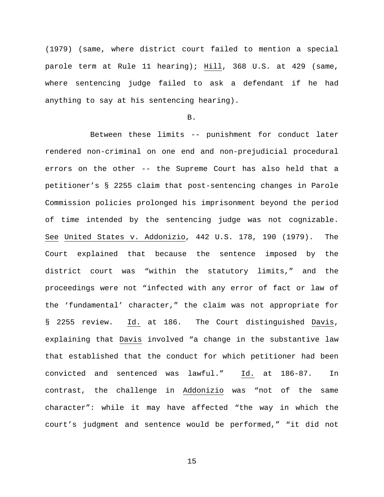(1979) (same, where district court failed to mention a special parole term at Rule 11 hearing); Hill, 368 U.S. at 429 (same, where sentencing judge failed to ask a defendant if he had anything to say at his sentencing hearing).

### B.

Between these limits -- punishment for conduct later rendered non-criminal on one end and non-prejudicial procedural errors on the other -- the Supreme Court has also held that a petitioner's § 2255 claim that post-sentencing changes in Parole Commission policies prolonged his imprisonment beyond the period of time intended by the sentencing judge was not cognizable. See United States v. Addonizio, 442 U.S. 178, 190 (1979). The Court explained that because the sentence imposed by the district court was "within the statutory limits," and the proceedings were not "infected with any error of fact or law of the 'fundamental' character," the claim was not appropriate for § 2255 review. Id. at 186. The Court distinguished Davis, explaining that Davis involved "a change in the substantive law that established that the conduct for which petitioner had been convicted and sentenced was lawful." Id. at 186-87. In contrast, the challenge in Addonizio was "not of the same character": while it may have affected "the way in which the court's judgment and sentence would be performed," "it did not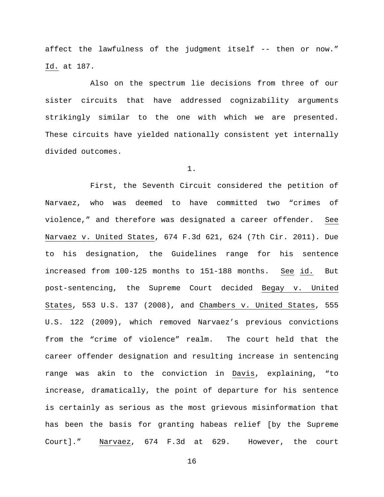affect the lawfulness of the judgment itself -- then or now." Id. at 187.

Also on the spectrum lie decisions from three of our sister circuits that have addressed cognizability arguments strikingly similar to the one with which we are presented. These circuits have yielded nationally consistent yet internally divided outcomes.

1.

First, the Seventh Circuit considered the petition of Narvaez, who was deemed to have committed two "crimes of violence," and therefore was designated a career offender. See Narvaez v. United States, 674 F.3d 621, 624 (7th Cir. 2011). Due to his designation, the Guidelines range for his sentence increased from 100-125 months to 151-188 months. See id. But post-sentencing, the Supreme Court decided Begay v. United States, 553 U.S. 137 (2008), and Chambers v. United States, 555 U.S. 122 (2009), which removed Narvaez's previous convictions from the "crime of violence" realm. The court held that the career offender designation and resulting increase in sentencing range was akin to the conviction in Davis, explaining, "to increase, dramatically, the point of departure for his sentence is certainly as serious as the most grievous misinformation that has been the basis for granting habeas relief [by the Supreme Court]." Narvaez, 674 F.3d at 629. However, the court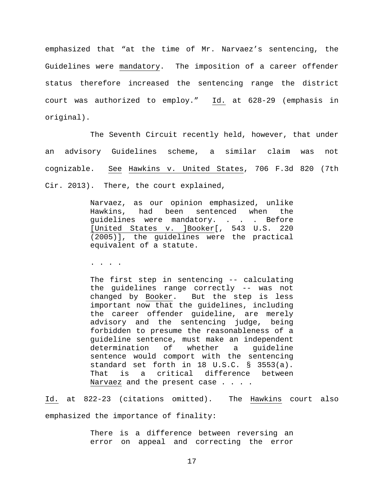emphasized that "at the time of Mr. Narvaez's sentencing, the Guidelines were mandatory. The imposition of a career offender status therefore increased the sentencing range the district court was authorized to employ." Id. at 628-29 (emphasis in original).

The Seventh Circuit recently held, however, that under an advisory Guidelines scheme, a similar claim was not cognizable. See Hawkins v. United States, 706 F.3d 820 (7th Cir. 2013). There, the court explained,

> Narvaez, as our opinion emphasized, unlike had been sentenced when the quidelines were mandatory. . . . Before [United States v. ]Booker[, 543 U.S. 220 (2005)], the guidelines were the practical equivalent of a statute.

. . . .

The first step in sentencing -- calculating the guidelines range correctly -- was not changed by Booker. But the step is less important now that the guidelines, including the career offender guideline, are merely advisory and the sentencing judge, being forbidden to presume the reasonableness of a guideline sentence, must make an independent<br>determination of whether a quideline determination sentence would comport with the sentencing standard set forth in 18 U.S.C. § 3553(a).<br>That is a critical difference between critical difference between Narvaez and the present case . . . .

Id. at 822-23 (citations omitted). The Hawkins court also emphasized the importance of finality:

> There is a difference between reversing an error on appeal and correcting the error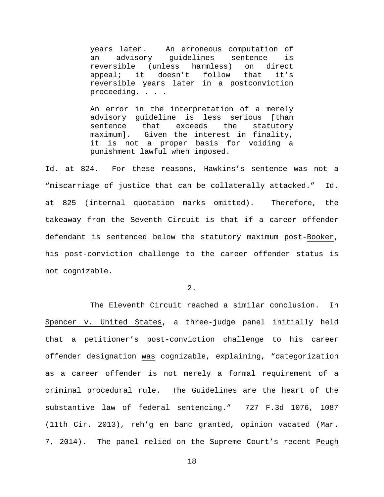years later. An erroneous computation of an advisory guidelines sentence is reversible (unless harmless) on direct<br>appeal; it doesn't follow that it's appeal; it doesn't follow that it's reversible years later in a postconviction proceeding. . . .

An error in the interpretation of a merely advisory guideline is less serious [than<br>sentence that exceeds the statutory sentence that exceeds the statutory maximum]. Given the interest in finality, it is not a proper basis for voiding a punishment lawful when imposed.

Id. at 824. For these reasons, Hawkins's sentence was not a "miscarriage of justice that can be collaterally attacked." Id. at 825 (internal quotation marks omitted). Therefore, the takeaway from the Seventh Circuit is that if a career offender defendant is sentenced below the statutory maximum post-Booker, his post-conviction challenge to the career offender status is not cognizable.

2.

The Eleventh Circuit reached a similar conclusion. In Spencer v. United States, a three-judge panel initially held that a petitioner's post-conviction challenge to his career offender designation was cognizable, explaining, "categorization as a career offender is not merely a formal requirement of a criminal procedural rule. The Guidelines are the heart of the substantive law of federal sentencing." 727 F.3d 1076, 1087 (11th Cir. 2013), reh'g en banc granted, opinion vacated (Mar. 7, 2014). The panel relied on the Supreme Court's recent Peugh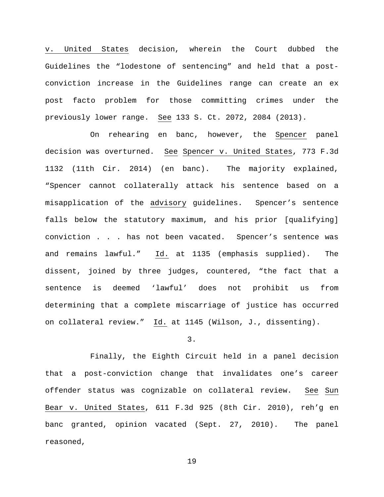v. United States decision, wherein the Court dubbed the Guidelines the "lodestone of sentencing" and held that a postconviction increase in the Guidelines range can create an ex post facto problem for those committing crimes under the previously lower range. See 133 S. Ct. 2072, 2084 (2013).

On rehearing en banc, however, the Spencer panel decision was overturned. See Spencer v. United States, 773 F.3d 1132 (11th Cir. 2014) (en banc). The majority explained, "Spencer cannot collaterally attack his sentence based on a misapplication of the advisory guidelines. Spencer's sentence falls below the statutory maximum, and his prior [qualifying] conviction . . . has not been vacated. Spencer's sentence was and remains lawful." Id. at 1135 (emphasis supplied). The dissent, joined by three judges, countered, "the fact that a sentence is deemed 'lawful' does not prohibit us from determining that a complete miscarriage of justice has occurred on collateral review." Id. at 1145 (Wilson, J., dissenting).

3.

Finally, the Eighth Circuit held in a panel decision that a post-conviction change that invalidates one's career offender status was cognizable on collateral review. See Sun Bear v. United States, 611 F.3d 925 (8th Cir. 2010), reh'g en banc granted, opinion vacated (Sept. 27, 2010). The panel reasoned,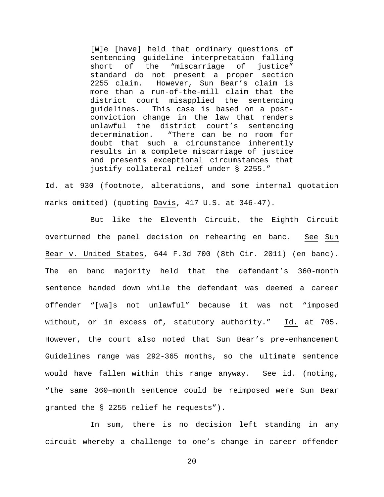[W]e [have] held that ordinary questions of sentencing guideline interpretation falling<br>short of the "miscarriage of justice" short of the "miscarriage of justice" standard do not present a proper section<br>2255 claim. However, Sun Bear's claim is 2255 claim. However, Sun Bear's claim is more than a run-of-the-mill claim that the district court misapplied the sentencing guidelines. This case is based on a postconviction change in the law that renders unlawful the district court's sentencing<br>determination. "There can be no room for "There can be no room for doubt that such a circumstance inherently results in a complete miscarriage of justice and presents exceptional circumstances that justify collateral relief under § 2255."

Id. at 930 (footnote, alterations, and some internal quotation marks omitted) (quoting Davis, 417 U.S. at 346-47).

But like the Eleventh Circuit, the Eighth Circuit overturned the panel decision on rehearing en banc. See Sun Bear v. United States, 644 F.3d 700 (8th Cir. 2011) (en banc). The en banc majority held that the defendant's 360-month sentence handed down while the defendant was deemed a career offender "[wa]s not unlawful" because it was not "imposed without, or in excess of, statutory authority." Id. at 705. However, the court also noted that Sun Bear's pre-enhancement Guidelines range was 292-365 months, so the ultimate sentence would have fallen within this range anyway. See id. (noting, "the same 360–month sentence could be reimposed were Sun Bear granted the § 2255 relief he requests").

In sum, there is no decision left standing in any circuit whereby a challenge to one's change in career offender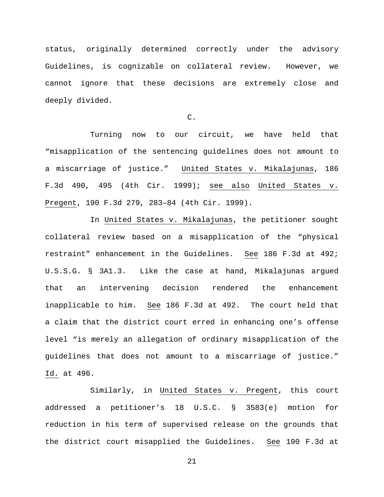status, originally determined correctly under the advisory Guidelines, is cognizable on collateral review. However, we cannot ignore that these decisions are extremely close and deeply divided.

C.

Turning now to our circuit, we have held that "misapplication of the sentencing guidelines does not amount to a miscarriage of justice." United States v. Mikalajunas, 186 F.3d 490, 495 (4th Cir. 1999); see also United States v. Pregent, 190 F.3d 279, 283–84 (4th Cir. 1999).

In United States v. Mikalajunas, the petitioner sought collateral review based on a misapplication of the "physical restraint" enhancement in the Guidelines. See 186 F.3d at 492; U.S.S.G. § 3A1.3. Like the case at hand, Mikalajunas argued that an intervening decision rendered the enhancement inapplicable to him. See 186 F.3d at 492. The court held that a claim that the district court erred in enhancing one's offense level "is merely an allegation of ordinary misapplication of the guidelines that does not amount to a miscarriage of justice." Id. at 496.

Similarly, in United States v. Pregent, this court addressed a petitioner's 18 U.S.C. § 3583(e) motion for reduction in his term of supervised release on the grounds that the district court misapplied the Guidelines. See 190 F.3d at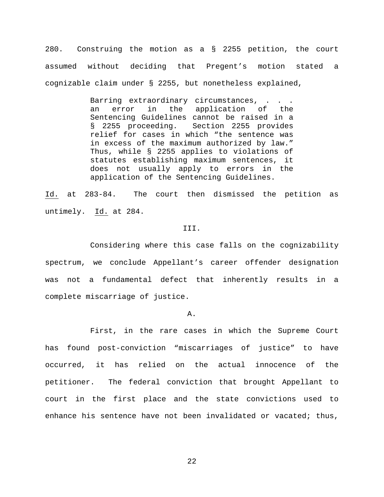280. Construing the motion as a § 2255 petition, the court assumed without deciding that Pregent's motion stated a cognizable claim under § 2255, but nonetheless explained,

> Barring extraordinary circumstances, . . . an error in the application of the Sentencing Guidelines cannot be raised in a § 2255 proceeding. Section 2255 provides relief for cases in which "the sentence was in excess of the maximum authorized by law." Thus, while § 2255 applies to violations of statutes establishing maximum sentences, it does not usually apply to errors in the application of the Sentencing Guidelines.

Id. at 283-84. The court then dismissed the petition as untimely. Id. at 284.

## III.

Considering where this case falls on the cognizability spectrum, we conclude Appellant's career offender designation was not a fundamental defect that inherently results in a complete miscarriage of justice.

A.

First, in the rare cases in which the Supreme Court has found post-conviction "miscarriages of justice" to have occurred, it has relied on the actual innocence of the petitioner. The federal conviction that brought Appellant to court in the first place and the state convictions used to enhance his sentence have not been invalidated or vacated; thus,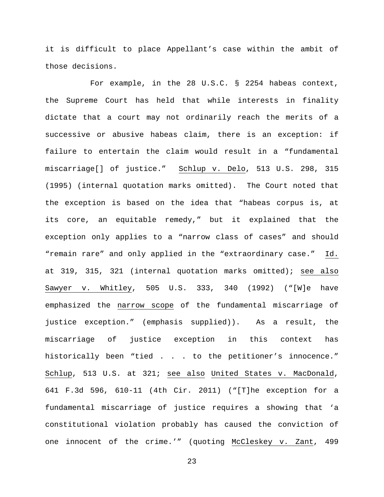it is difficult to place Appellant's case within the ambit of those decisions.

For example, in the 28 U.S.C. § 2254 habeas context, the Supreme Court has held that while interests in finality dictate that a court may not ordinarily reach the merits of a successive or abusive habeas claim, there is an exception: if failure to entertain the claim would result in a "fundamental miscarriage[] of justice." Schlup v. Delo, 513 U.S. 298, 315 (1995) (internal quotation marks omitted). The Court noted that the exception is based on the idea that "habeas corpus is, at its core, an equitable remedy," but it explained that the exception only applies to a "narrow class of cases" and should "remain rare" and only applied in the "extraordinary case." Id. at 319, 315, 321 (internal quotation marks omitted); see also Sawyer v. Whitley, 505 U.S. 333, 340 (1992) ("[W]e have emphasized the narrow scope of the fundamental miscarriage of justice exception." (emphasis supplied)). As a result, the miscarriage of justice exception in this context has historically been "tied . . . to the petitioner's innocence." Schlup, 513 U.S. at 321; see also United States v. MacDonald, 641 F.3d 596, 610-11 (4th Cir. 2011) ("[T]he exception for a fundamental miscarriage of justice requires a showing that 'a constitutional violation probably has caused the conviction of one innocent of the crime.'" (quoting McCleskey v. Zant, 499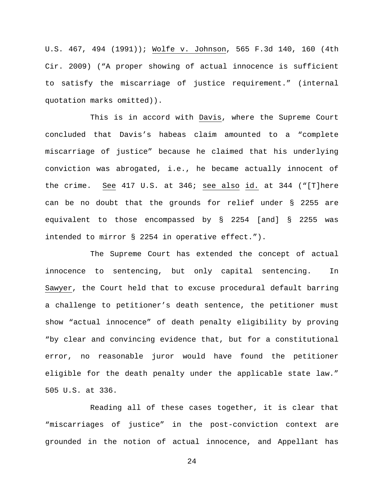U.S. 467, 494 (1991)); Wolfe v. Johnson, 565 F.3d 140, 160 (4th Cir. 2009) ("A proper showing of actual innocence is sufficient to satisfy the miscarriage of justice requirement." (internal quotation marks omitted)).

This is in accord with Davis, where the Supreme Court concluded that Davis's habeas claim amounted to a "complete miscarriage of justice" because he claimed that his underlying conviction was abrogated, i.e., he became actually innocent of the crime. See 417 U.S. at 346; see also id. at 344 ("[T]here can be no doubt that the grounds for relief under § 2255 are equivalent to those encompassed by § 2254 [and] § 2255 was intended to mirror § 2254 in operative effect.").

The Supreme Court has extended the concept of actual innocence to sentencing, but only capital sentencing. In Sawyer, the Court held that to excuse procedural default barring a challenge to petitioner's death sentence, the petitioner must show "actual innocence" of death penalty eligibility by proving "by clear and convincing evidence that, but for a constitutional error, no reasonable juror would have found the petitioner eligible for the death penalty under the applicable state law." 505 U.S. at 336.

Reading all of these cases together, it is clear that "miscarriages of justice" in the post-conviction context are grounded in the notion of actual innocence, and Appellant has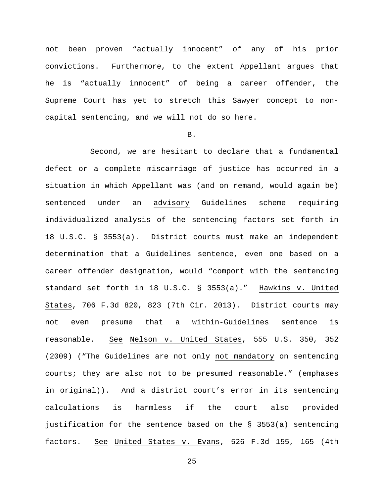not been proven "actually innocent" of any of his prior convictions. Furthermore, to the extent Appellant argues that he is "actually innocent" of being a career offender, the Supreme Court has yet to stretch this Sawyer concept to noncapital sentencing, and we will not do so here.

## B.

Second, we are hesitant to declare that a fundamental defect or a complete miscarriage of justice has occurred in a situation in which Appellant was (and on remand, would again be) sentenced under an advisory Guidelines scheme requiring individualized analysis of the sentencing factors set forth in 18 U.S.C. § 3553(a). District courts must make an independent determination that a Guidelines sentence, even one based on a career offender designation, would "comport with the sentencing standard set forth in 18 U.S.C. § 3553(a)." Hawkins v. United States, 706 F.3d 820, 823 (7th Cir. 2013). District courts may not even presume that a within-Guidelines sentence is reasonable. See Nelson v. United States, 555 U.S. 350, 352 (2009) ("The Guidelines are not only not mandatory on sentencing courts; they are also not to be presumed reasonable." (emphases in original)). And a district court's error in its sentencing calculations is harmless if the court also provided justification for the sentence based on the § 3553(a) sentencing factors. See United States v. Evans, 526 F.3d 155, 165 (4th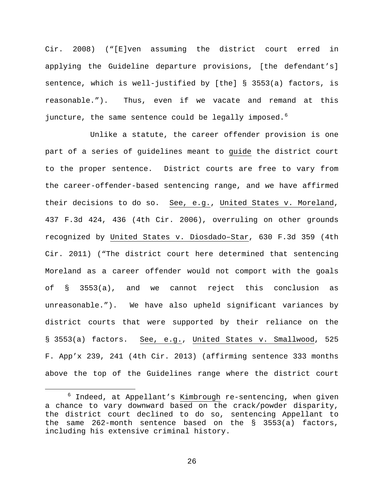Cir. 2008) ("[E]ven assuming the district court erred in applying the Guideline departure provisions, [the defendant's] sentence, which is well-justified by [the] § 3553(a) factors, is reasonable."). Thus, even if we vacate and remand at this juncture, the same sentence could be legally imposed.<sup>[6](#page-25-0)</sup>

Unlike a statute, the career offender provision is one part of a series of guidelines meant to guide the district court to the proper sentence. District courts are free to vary from the career-offender-based sentencing range, and we have affirmed their decisions to do so. See, e.g., United States v. Moreland, 437 F.3d 424, 436 (4th Cir. 2006), overruling on other grounds recognized by United States v. Diosdado–Star, 630 F.3d 359 (4th Cir. 2011) ("The district court here determined that sentencing Moreland as a career offender would not comport with the goals of § 3553(a), and we cannot reject this conclusion as unreasonable."). We have also upheld significant variances by district courts that were supported by their reliance on the § 3553(a) factors. See, e.g., United States v. Smallwood, 525 F. App'x 239, 241 (4th Cir. 2013) (affirming sentence 333 months above the top of the Guidelines range where the district court

<span id="page-25-0"></span> $6$  Indeed, at Appellant's Kimbrough re-sentencing, when given a chance to vary downward based on the crack/powder disparity, the district court declined to do so, sentencing Appellant to the same 262-month sentence based on the § 3553(a) factors, including his extensive criminal history.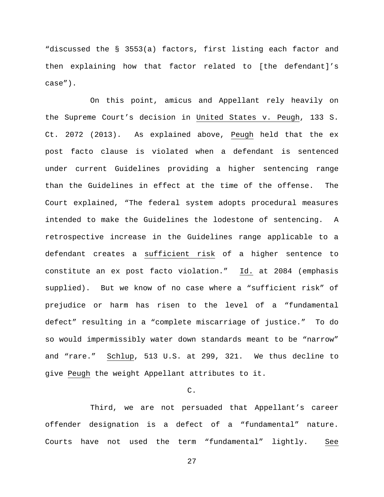"discussed the § 3553(a) factors, first listing each factor and then explaining how that factor related to [the defendant]'s case").

On this point, amicus and Appellant rely heavily on the Supreme Court's decision in United States v. Peugh, 133 S. Ct. 2072 (2013). As explained above, Peugh held that the ex post facto clause is violated when a defendant is sentenced under current Guidelines providing a higher sentencing range than the Guidelines in effect at the time of the offense. The Court explained, "The federal system adopts procedural measures intended to make the Guidelines the lodestone of sentencing. A retrospective increase in the Guidelines range applicable to a defendant creates a sufficient risk of a higher sentence to constitute an ex post facto violation." Id. at 2084 (emphasis supplied). But we know of no case where a "sufficient risk" of prejudice or harm has risen to the level of a "fundamental defect" resulting in a "complete miscarriage of justice." To do so would impermissibly water down standards meant to be "narrow" and "rare." Schlup, 513 U.S. at 299, 321. We thus decline to give Peugh the weight Appellant attributes to it.

## C.

Third, we are not persuaded that Appellant's career offender designation is a defect of a "fundamental" nature. Courts have not used the term "fundamental" lightly. See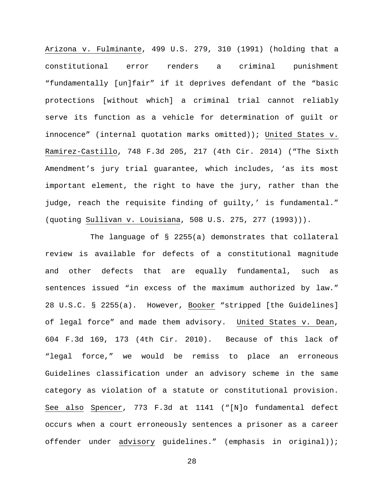Arizona v. Fulminante, 499 U.S. 279, 310 (1991) (holding that a constitutional error renders a criminal punishment "fundamentally [un]fair" if it deprives defendant of the "basic protections [without which] a criminal trial cannot reliably serve its function as a vehicle for determination of guilt or innocence" (internal quotation marks omitted)); United States v. Ramirez-Castillo, 748 F.3d 205, 217 (4th Cir. 2014) ("The Sixth Amendment's jury trial guarantee, which includes, 'as its most important element, the right to have the jury, rather than the judge, reach the requisite finding of guilty,' is fundamental." (quoting Sullivan v. Louisiana, 508 U.S. 275, 277 (1993))).

The language of § 2255(a) demonstrates that collateral review is available for defects of a constitutional magnitude and other defects that are equally fundamental, such as sentences issued "in excess of the maximum authorized by law." 28 U.S.C. § 2255(a). However, Booker "stripped [the Guidelines] of legal force" and made them advisory. United States v. Dean, 604 F.3d 169, 173 (4th Cir. 2010). Because of this lack of "legal force," we would be remiss to place an erroneous Guidelines classification under an advisory scheme in the same category as violation of a statute or constitutional provision. See also Spencer, 773 F.3d at 1141 ("[N]o fundamental defect occurs when a court erroneously sentences a prisoner as a career offender under advisory guidelines." (emphasis in original));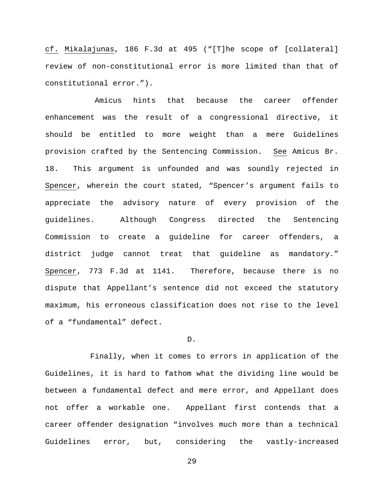cf. Mikalajunas, 186 F.3d at 495 ("[T]he scope of [collateral] review of non-constitutional error is more limited than that of constitutional error.").

Amicus hints that because the career offender enhancement was the result of a congressional directive, it should be entitled to more weight than a mere Guidelines provision crafted by the Sentencing Commission. See Amicus Br. 18. This argument is unfounded and was soundly rejected in Spencer, wherein the court stated, "Spencer's argument fails to appreciate the advisory nature of every provision of the guidelines. Although Congress directed the Sentencing Commission to create a guideline for career offenders, a district judge cannot treat that guideline as mandatory." Spencer, 773 F.3d at 1141. Therefore, because there is no dispute that Appellant's sentence did not exceed the statutory maximum, his erroneous classification does not rise to the level of a "fundamental" defect.

#### D.

Finally, when it comes to errors in application of the Guidelines, it is hard to fathom what the dividing line would be between a fundamental defect and mere error, and Appellant does not offer a workable one. Appellant first contends that a career offender designation "involves much more than a technical Guidelines error, but, considering the vastly-increased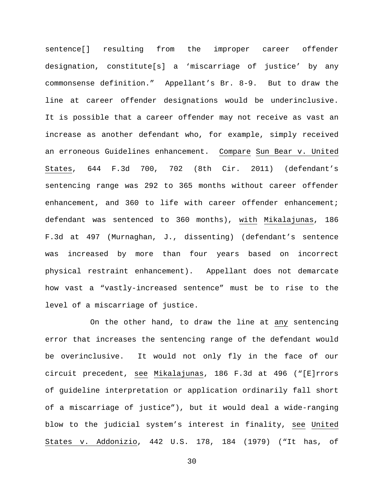sentence[] resulting from the improper career offender designation, constitute[s] a 'miscarriage of justice' by any commonsense definition." Appellant's Br. 8-9. But to draw the line at career offender designations would be underinclusive. It is possible that a career offender may not receive as vast an increase as another defendant who, for example, simply received an erroneous Guidelines enhancement. Compare Sun Bear v. United States, 644 F.3d 700, 702 (8th Cir. 2011) (defendant's sentencing range was 292 to 365 months without career offender enhancement, and 360 to life with career offender enhancement; defendant was sentenced to 360 months), with Mikalajunas, 186 F.3d at 497 (Murnaghan, J., dissenting) (defendant's sentence was increased by more than four years based on incorrect physical restraint enhancement). Appellant does not demarcate how vast a "vastly-increased sentence" must be to rise to the level of a miscarriage of justice.

On the other hand, to draw the line at any sentencing error that increases the sentencing range of the defendant would be overinclusive. It would not only fly in the face of our circuit precedent, see Mikalajunas, 186 F.3d at 496 ("[E]rrors of guideline interpretation or application ordinarily fall short of a miscarriage of justice"), but it would deal a wide-ranging blow to the judicial system's interest in finality, see United States v. Addonizio, 442 U.S. 178, 184 (1979) ("It has, of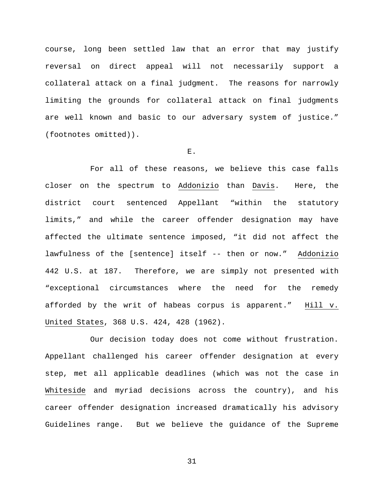course, long been settled law that an error that may justify reversal on direct appeal will not necessarily support a collateral attack on a final judgment. The reasons for narrowly limiting the grounds for collateral attack on final judgments are well known and basic to our adversary system of justice." (footnotes omitted)).

## E.

For all of these reasons, we believe this case falls closer on the spectrum to Addonizio than Davis. Here, the district court sentenced Appellant "within the statutory limits," and while the career offender designation may have affected the ultimate sentence imposed, "it did not affect the lawfulness of the [sentence] itself -- then or now." Addonizio 442 U.S. at 187. Therefore, we are simply not presented with "exceptional circumstances where the need for the remedy afforded by the writ of habeas corpus is apparent." Hill v. United States, 368 U.S. 424, 428 (1962).

Our decision today does not come without frustration. Appellant challenged his career offender designation at every step, met all applicable deadlines (which was not the case in Whiteside and myriad decisions across the country), and his career offender designation increased dramatically his advisory Guidelines range. But we believe the guidance of the Supreme